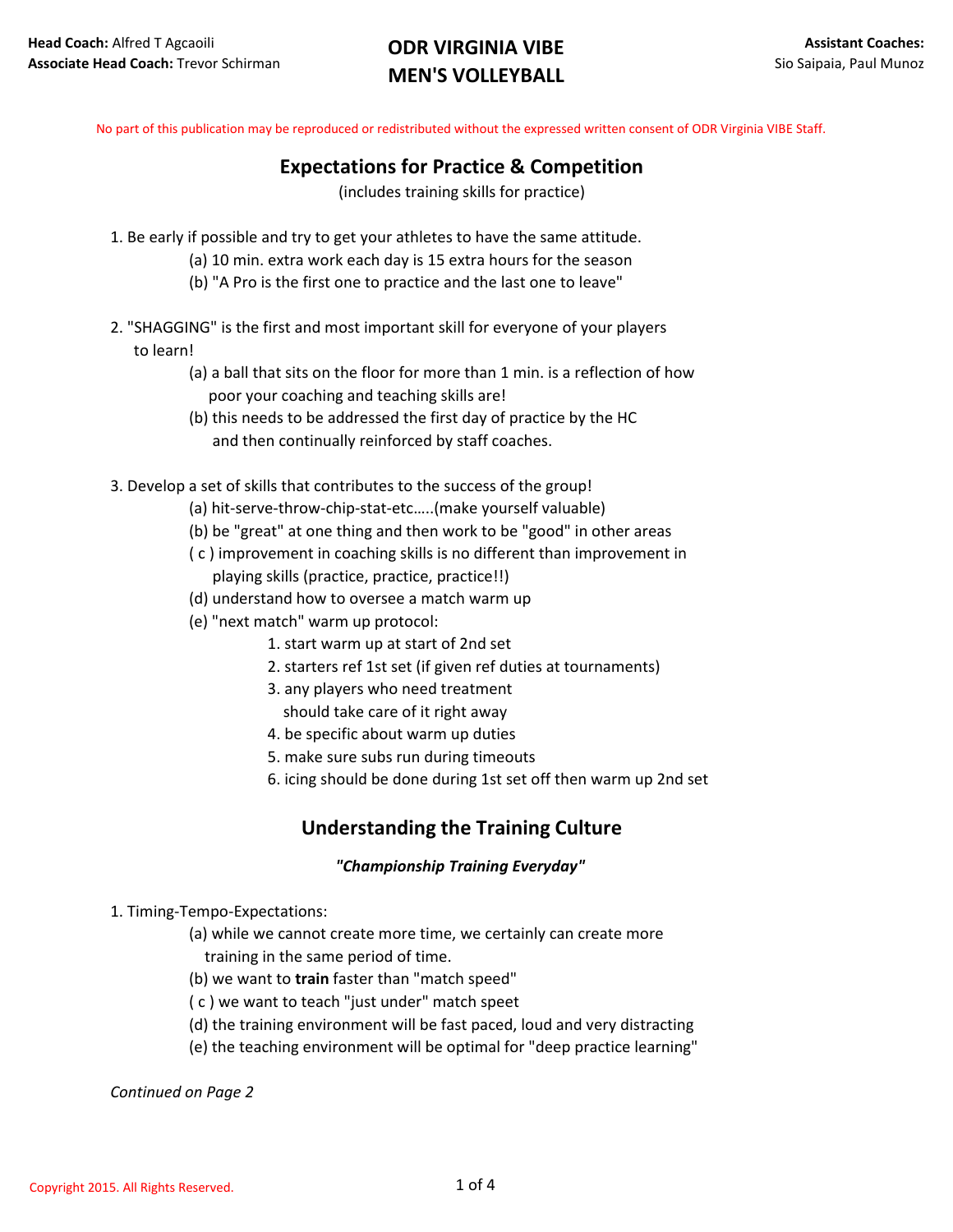No part of this publication may be reproduced or redistributed without the expressed written consent of ODR Virginia VIBE Staff.

## **Expectations for Practice & Competition**

(includes training skills for practice)

- 1. Be early if possible and try to get your athletes to have the same attitude.
	- (a) 10 min. extra work each day is 15 extra hours for the season
	- (b) "A Pro is the first one to practice and the last one to leave"
- 2. "SHAGGING" is the first and most important skill for everyone of your players to learn!
	- (a) a ball that sits on the floor for more than 1 min. is a reflection of how poor your coaching and teaching skills are!
	- (b) this needs to be addressed the first day of practice by the HC and then continually reinforced by staff coaches.
- 3. Develop a set of skills that contributes to the success of the group!
	- (a) hit-serve-throw-chip-stat-etc…..(make yourself valuable)
	- (b) be "great" at one thing and then work to be "good" in other areas
	- ( c ) improvement in coaching skills is no different than improvement in playing skills (practice, practice, practice!!)
	- (d) understand how to oversee a match warm up
	- (e) "next match" warm up protocol:
		- 1. start warm up at start of 2nd set
		- 2. starters ref 1st set (if given ref duties at tournaments)
		- 3. any players who need treatment
		- should take care of it right away
		- 4. be specific about warm up duties
		- 5. make sure subs run during timeouts
		- 6. icing should be done during 1st set off then warm up 2nd set

## **Understanding the Training Culture**

#### *"Championship Training Everyday"*

1. Timing-Tempo-Expectations:

(a) while we cannot create more time, we certainly can create more training in the same period of time.

- (b) we want to **train** faster than "match speed"
- ( c ) we want to teach "just under" match speet
- (d) the training environment will be fast paced, loud and very distracting
- (e) the teaching environment will be optimal for "deep practice learning"

*Continued on Page 2*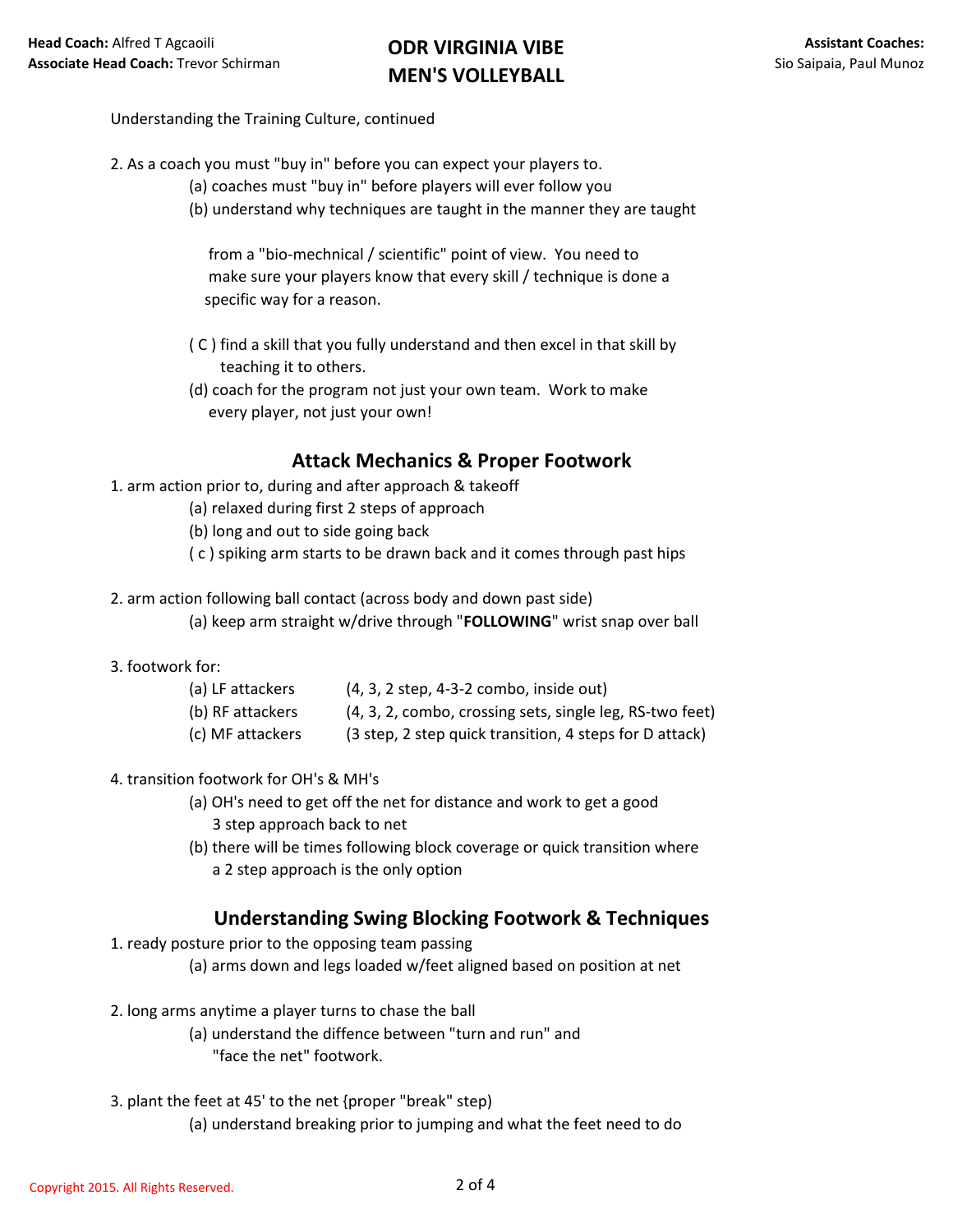## Understanding the Training Culture, continued

- 2. As a coach you must "buy in" before you can expect your players to.
	- (a) coaches must "buy in" before players will ever follow you
	- (b) understand why techniques are taught in the manner they are taught

 from a "bio-mechnical / scientific" point of view. You need to make sure your players know that every skill / technique is done a specific way for a reason.

- ( C ) find a skill that you fully understand and then excel in that skill by teaching it to others.
- (d) coach for the program not just your own team. Work to make every player, not just your own!

## **Attack Mechanics & Proper Footwork**

- 1. arm action prior to, during and after approach & takeoff
	- (a) relaxed during first 2 steps of approach
	- (b) long and out to side going back
	- ( c ) spiking arm starts to be drawn back and it comes through past hips
- 2. arm action following ball contact (across body and down past side)
	- (a) keep arm straight w/drive through "**FOLLOWING**" wrist snap over ball

### 3. footwork for:

| (a) LF attackers | $(4, 3, 2 \text{ step}, 4-3-2 \text{ comb}, \text{inside out})$ |
|------------------|-----------------------------------------------------------------|
| (b) RF attackers | (4, 3, 2, combo, crossing sets, single leg, RS-two feet)        |
| (c) MF attackers | (3 step, 2 step quick transition, 4 steps for D attack)         |

### 4. transition footwork for OH's & MH's

- (a) OH's need to get off the net for distance and work to get a good 3 step approach back to net
- (b) there will be times following block coverage or quick transition where a 2 step approach is the only option

## **Understanding Swing Blocking Footwork & Techniques**

- 1. ready posture prior to the opposing team passing
	- (a) arms down and legs loaded w/feet aligned based on position at net
- 2. long arms anytime a player turns to chase the ball
	- (a) understand the diffence between "turn and run" and "face the net" footwork.
- 3. plant the feet at 45' to the net {proper "break" step)
	- (a) understand breaking prior to jumping and what the feet need to do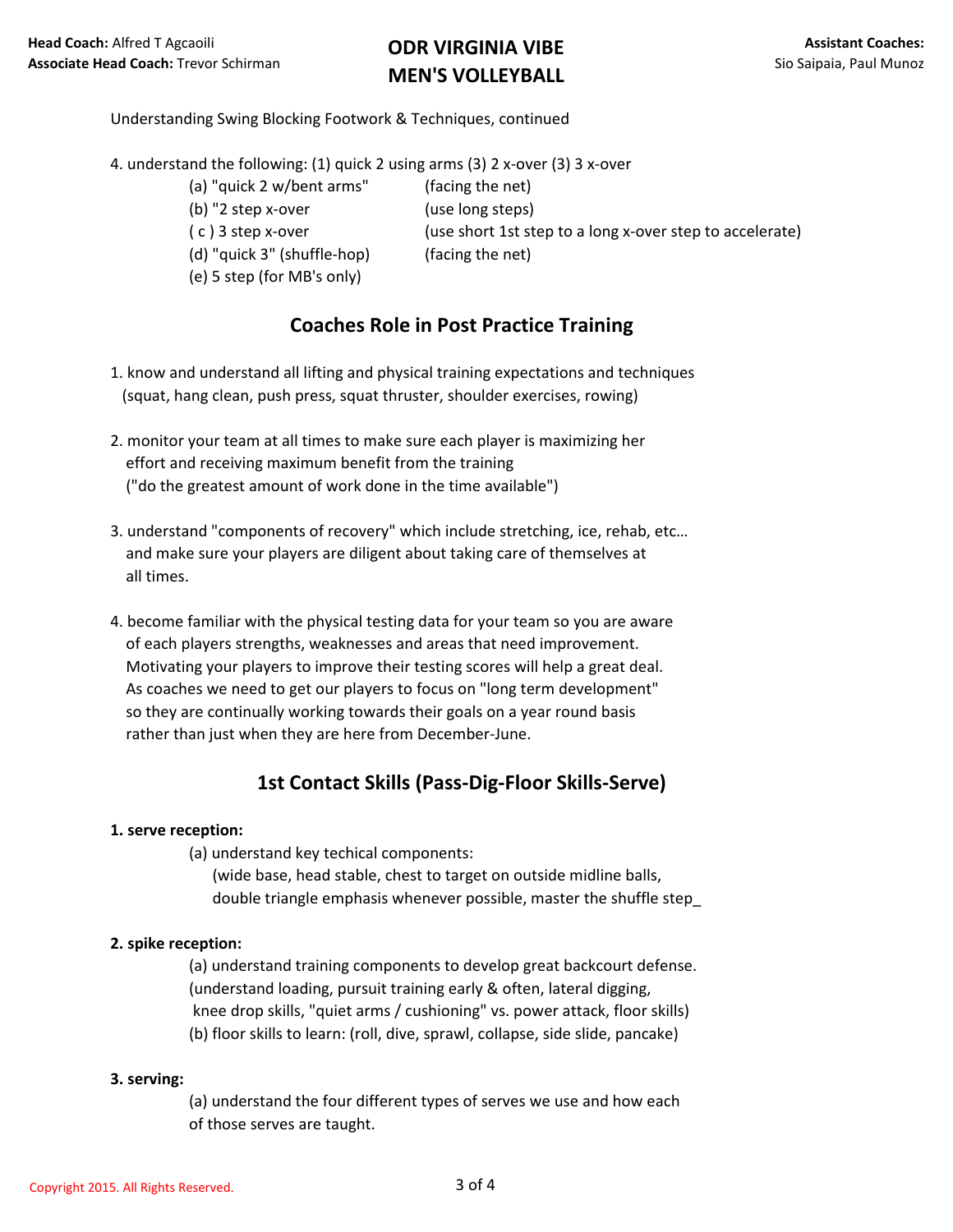## Understanding Swing Blocking Footwork & Techniques, continued

4. understand the following: (1) quick 2 using arms (3) 2 x-over (3) 3 x-over

- (a) "quick 2 w/bent arms" (facing the net)
- (b) "2 step x-over (use long steps)
- 
- (d) "quick 3" (shuffle-hop) (facing the net)
- (e) 5 step (for MB's only)
- ( c ) 3 step x-over (use short 1st step to a long x-over step to accelerate)
	-

## **Coaches Role in Post Practice Training**

- 1. know and understand all lifting and physical training expectations and techniques (squat, hang clean, push press, squat thruster, shoulder exercises, rowing)
- 2. monitor your team at all times to make sure each player is maximizing her effort and receiving maximum benefit from the training ("do the greatest amount of work done in the time available")
- 3. understand "components of recovery" which include stretching, ice, rehab, etc… and make sure your players are diligent about taking care of themselves at all times.
- 4. become familiar with the physical testing data for your team so you are aware of each players strengths, weaknesses and areas that need improvement. Motivating your players to improve their testing scores will help a great deal. As coaches we need to get our players to focus on "long term development" so they are continually working towards their goals on a year round basis rather than just when they are here from December-June.

## **1st Contact Skills (Pass-Dig-Floor Skills-Serve)**

### **1. serve reception:**

(a) understand key techical components:

 (wide base, head stable, chest to target on outside midline balls, double triangle emphasis whenever possible, master the shuffle step\_

### **2. spike reception:**

(a) understand training components to develop great backcourt defense. (understand loading, pursuit training early & often, lateral digging, knee drop skills, "quiet arms / cushioning" vs. power attack, floor skills) (b) floor skills to learn: (roll, dive, sprawl, collapse, side slide, pancake)

### **3. serving:**

(a) understand the four different types of serves we use and how each of those serves are taught.